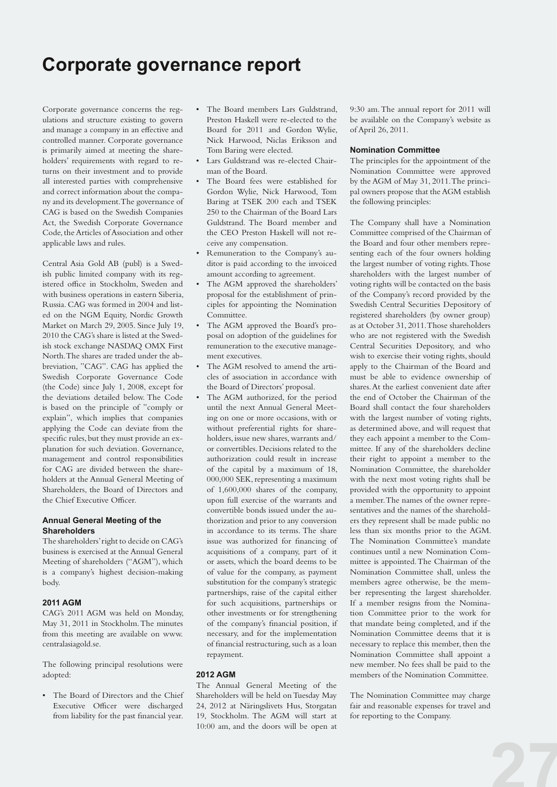# **Corporate governance report**

Corporate governance concerns the regulations and structure existing to govern and manage a company in an effective and controlled manner. Corporate governance is primarily aimed at meeting the shareholders' requirements with regard to returns on their investment and to provide all interested parties with comprehensive and correct information about the company and its development. The governance of CAG is based on the Swedish Companies Act, the Swedish Corporate Governance Code, the Articles of Association and other applicable laws and rules.

Central Asia Gold AB (publ) is a Swedish public limited company with its registered office in Stockholm, Sweden and with business operations in eastern Siberia, Russia. CAG was formed in 2004 and listed on the NGM Equity, Nordic Growth Market on March 29, 2005. Since July 19, 2010 the CAG's share is listed at the Swedish stock exchange NASDAQ OMX First North. The shares are traded under the abbreviation, "CAG". CAG has applied the Swedish Corporate Governance Code (the Code) since July 1, 2008, except for the deviations detailed below. The Code is based on the principle of "comply or explain", which implies that companies applying the Code can deviate from the specific rules, but they must provide an explanation for such deviation. Governance, management and control responsibilities for CAG are divided between the shareholders at the Annual General Meeting of Shareholders, the Board of Directors and the Chief Executive Officer.

# **Annual General Meeting of the Shareholders**

The shareholders' right to decide on CAG's business is exercised at the Annual General Meeting of shareholders ("AGM"), which is a company's highest decision-making body.

#### **2011 AGM**

CAG's 2011 AGM was held on Monday, May 31, 2011 in Stockholm. The minutes from this meeting are available on www. centralasiagold.se.

The following principal resolutions were adopted:

• The Board of Directors and the Chief Executive Officer were discharged from liability for the past financial year.

- The Board members Lars Guldstrand, Preston Haskell were re-elected to the Board for 2011 and Gordon Wylie, Nick Harwood, Niclas Eriksson and Tom Baring were elected.
- • Lars Guldstrand was re-elected Chairman of the Board.
- The Board fees were established for Gordon Wylie, Nick Harwood, Tom Baring at TSEK 200 each and TSEK 250 to the Chairman of the Board Lars Guldstrand. The Board member and the CEO Preston Haskell will not receive any compensation.
- • Remuneration to the Company's auditor is paid according to the invoiced amount according to agreement.
- The AGM approved the shareholders' proposal for the establishment of principles for appointing the Nomination Committee.
- The AGM approved the Board's proposal on adoption of the guidelines for remuneration to the executive management executives.
- The AGM resolved to amend the articles of association in accordance with the Board of Directors' proposal.
- The AGM authorized, for the period until the next Annual General Meeting on one or more occasions, with or without preferential rights for shareholders, issue new shares, warrants and/ or convertibles. Decisions related to the authorization could result in increase of the capital by a maximum of 18, 000,000 SEK, representing a maximum of 1,600,000 shares of the company, upon full exercise of the warrants and convertible bonds issued under the authorization and prior to any conversion in accordance to its terms. The share issue was authorized for financing of acquisitions of a company, part of it or assets, which the board deems to be of value for the company, as payment substitution for the company's strategic partnerships, raise of the capital either for such acquisitions, partnerships or other investments or for strengthening of the company's financial position, if necessary, and for the implementation of financial restructuring, such as a loan repayment.

# **2012 AGM**

The Annual General Meeting of the Shareholders will be held on Tuesday May 24, 2012 at Näringslivets Hus, Storgatan 19, Stockholm. The AGM will start at 10:00 am, and the doors will be open at

9:30 am. The annual report for 2011 will be available on the Company's website as of April 26, 2011.

# **Nomination Committee**

The principles for the appointment of the Nomination Committee were approved by the AGM of May 31, 2011. The principal owners propose that the AGM establish the following principles:

The Company shall have a Nomination Committee comprised of the Chairman of the Board and four other members representing each of the four owners holding the largest number of voting rights. Those shareholders with the largest number of voting rights will be contacted on the basis of the Company's record provided by the Swedish Central Securities Depository of registered shareholders (by owner group) as at October 31, 2011. Those shareholders who are not registered with the Swedish Central Securities Depository, and who wish to exercise their voting rights, should apply to the Chairman of the Board and must be able to evidence ownership of shares. At the earliest convenient date after the end of October the Chairman of the Board shall contact the four shareholders with the largest number of voting rights, as determined above, and will request that they each appoint a member to the Committee. If any of the shareholders decline their right to appoint a member to the Nomination Committee, the shareholder with the next most voting rights shall be provided with the opportunity to appoint a member. The names of the owner representatives and the names of the shareholders they represent shall be made public no less than six months prior to the AGM. The Nomination Committee's mandate continues until a new Nomination Committee is appointed. The Chairman of the Nomination Committee shall, unless the members agree otherwise, be the member representing the largest shareholder. If a member resigns from the Nomination Committee prior to the work for that mandate being completed, and if the Nomination Committee deems that it is necessary to replace this member, then the Nomination Committee shall appoint a new member. No fees shall be paid to the members of the Nomination Committee.

The Nomination Committee may charge fair and reasonable expenses for travel and for reporting to the Company.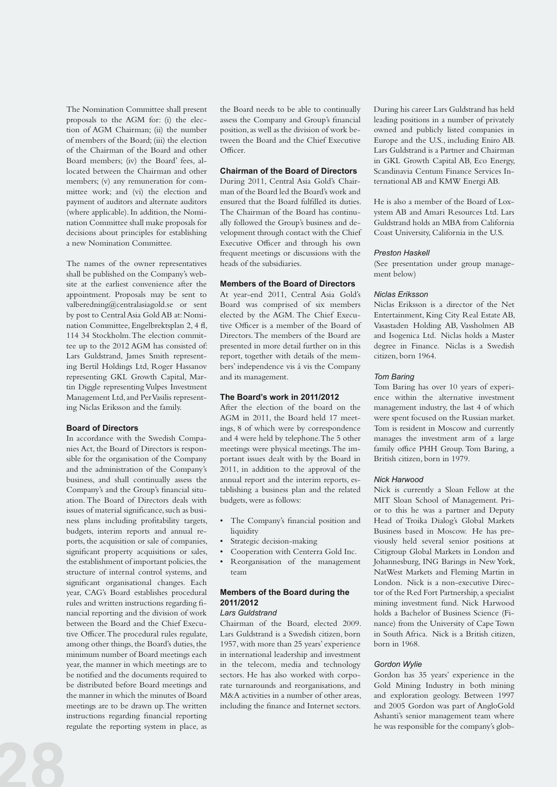The Nomination Committee shall present proposals to the AGM for: (i) the election of AGM Chairman; (ii) the number of members of the Board; (iii) the election of the Chairman of the Board and other Board members; (iv) the Board' fees, allocated between the Chairman and other members; (v) any remuneration for committee work; and (vi) the election and payment of auditors and alternate auditors (where applicable). In addition, the Nomination Committee shall make proposals for decisions about principles for establishing a new Nomination Committee.

The names of the owner representatives shall be published on the Company's website at the earliest convenience after the appointment. Proposals may be sent to valberedning@centralasiagold.se or sent by post to Central Asia Gold AB at: Nomination Committee, Engelbrektsplan 2, 4 fl, 114 34 Stockholm. The election committee up to the 2012 AGM has consisted of: Lars Guldstrand, James Smith representing Bertil Holdings Ltd, Roger Hassanov representing GKL Growth Capital, Martin Diggle representing Vulpes Investment Management Ltd,and PerVasilis representing Niclas Eriksson and the family.

## **Board of Directors**

In accordance with the Swedish Companies Act, the Board of Directors is responsible for the organisation of the Company and the administration of the Company's business, and shall continually assess the Company's and the Group's financial situation. The Board of Directors deals with issues of material significance, such as business plans including profitability targets, budgets, interim reports and annual reports, the acquisition or sale of companies, significant property acquisitions or sales, the establishment of important policies, the structure of internal control systems, and significant organisational changes. Each year, CAG's Board establishes procedural rules and written instructions regarding financial reporting and the division of work between the Board and the Chief Executive Officer. The procedural rules regulate, among other things, the Board's duties, the minimum number of Board meetings each year, the manner in which meetings are to be notified and the documents required to be distributed before Board meetings and the manner in which the minutes of Board meetings are to be drawn up. The written instructions regarding financial reporting regulate the reporting system in place, as

the Board needs to be able to continually assess the Company and Group's financial position, as well as the division of work between the Board and the Chief Executive Officer.

# **Chairman of the Board of Directors**

During 2011, Central Asia Gold's Chairman of the Board led the Board's work and ensured that the Board fulfilled its duties. The Chairman of the Board has continually followed the Group's business and development through contact with the Chief Executive Officer and through his own frequent meetings or discussions with the heads of the subsidiaries.

# **Members of the Board of Directors**

At year-end 2011, Central Asia Gold's Board was comprised of six members elected by the AGM. The Chief Executive Officer is a member of the Board of Directors. The members of the Board are presented in more detail further on in this report, together with details of the members' independence vis á vis the Company and its management.

# **The Board's work in 2011/2012**

After the election of the board on the AGM in 2011, the Board held 17 meetings, 8 of which were by correspondence and 4 were held by telephone. The 5 other meetings were physical meetings. The important issues dealt with by the Board in 2011, in addition to the approval of the annual report and the interim reports, establishing a business plan and the related budgets, were as follows:

- • The Company's financial position and liquidity
- Strategic decision-making
	- Cooperation with Centerra Gold Inc.
- Reorganisation of the management team

## **Members of the Board during the 2011/2012**  *Lars Guldstrand*

Chairman of the Board, elected 2009. Lars Guldstrand is a Swedish citizen, born 1957, with more than 25 years' experience in international leadership and investment in the telecom, media and technology sectors. He has also worked with corporate turnarounds and reorganisations, and M&A activities in a number of other areas, including the finance and Internet sectors. During his career Lars Guldstrand has held leading positions in a number of privately owned and publicly listed companies in Europe and the U.S., including Eniro AB. Lars Guldstrand is a Partner and Chairman in GKL Growth Capital AB, Eco Energy, Scandinavia Centum Finance Services International AB and KMW Energi AB.

He is also a member of the Board of Loxystem AB and Amari Resources Ltd. Lars Guldstrand holds an MBA from California Coast University, California in the U.S.

#### *Preston Haskell*

(See presentation under group management below)

#### *Niclas Eriksson*

Niclas Eriksson is a director of the Net Entertainment, King City Real Estate AB, Vasastaden Holding AB, Vassholmen AB and Isogenica Ltd. 
Niclas holds a Master degree in Finance. Niclas is a Swedish citizen, born 1964.

## *Tom Baring*

Tom Baring has over 10 years of experience within the alternative investment management industry, the last 4 of which were spent focused on the Russian market. Tom is resident in Moscow and currently manages the investment arm of a large family office PHH Group. Tom Baring, a British citizen, born in 1979.

#### *Nick Harwood*

Nick is currently a Sloan Fellow at the MIT Sloan School of Management. Prior to this he was a partner and Deputy Head of Troika Dialog's Global Markets Business based in Moscow. He has previously held several senior positions at Citigroup Global Markets in London and Johannesburg, ING Barings in New York, NatWest Markets and Fleming Martin in London. 
Nick is a non-executive Director of the Red Fort Partnership, a specialist mining investment fund. Nick Harwood holds a Bachelor of Business Science (Finance) from the University of Cape Town in South Africa. 
Nick is a British citizen, born in 1968.

#### *Gordon Wylie*

Gordon has 35 years' experience in the Gold Mining Industry in both mining and exploration geology. Between 1997 and 2005 Gordon was part of AngloGold Ashanti's senior management team where he was responsible for the company's glob-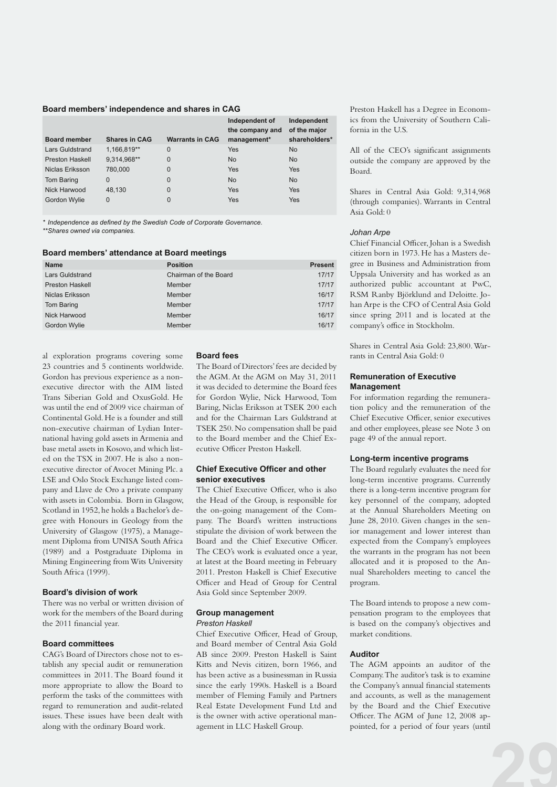#### **Board members' independence and shares in CAG**

| <b>Board member</b>    | <b>Shares in CAG</b> | <b>Warrants in CAG</b> | Independent of<br>the company and<br>management* | Independent<br>of the major<br>shareholders* |
|------------------------|----------------------|------------------------|--------------------------------------------------|----------------------------------------------|
| Lars Guldstrand        | 1,166,819**          | 0                      | Yes                                              | <b>No</b>                                    |
| <b>Preston Haskell</b> | 9,314,968**          | $\mathbf 0$            | <b>No</b>                                        | <b>No</b>                                    |
| Niclas Eriksson        | 780,000              | 0                      | Yes                                              | Yes                                          |
| <b>Tom Baring</b>      | $\Omega$             | 0                      | <b>No</b>                                        | <b>No</b>                                    |
| Nick Harwood           | 48.130               | 0                      | Yes                                              | Yes                                          |
| Gordon Wylie           | $\Omega$             | 0                      | Yes                                              | Yes                                          |

*\* Independence as defined by the Swedish Code of Corporate Governance.*

*\*\* Shares owned via companies.*

## **Board members' attendance at Board meetings**

| <b>Name</b>            | <b>Position</b>       | <b>Present</b> |
|------------------------|-----------------------|----------------|
| <b>Lars Guldstrand</b> | Chairman of the Board | 17/17          |
| <b>Preston Haskell</b> | Member                | 17/17          |
| Niclas Eriksson        | Member                | 16/17          |
| Tom Baring             | Member                | 17/17          |
| Nick Harwood           | Member                | 16/17          |
| Gordon Wylie           | Member                | 16/17          |

al exploration programs covering some 23 countries and 5 continents worldwide. Gordon has previous experience as a nonexecutive director with the AIM listed Trans Siberian Gold and OxusGold. He was until the end of 2009 vice chairman of Continental Gold. He is a founder and still non-executive chairman of Lydian International having gold assets in Armenia and base metal assets in Kosovo, and which listed on the TSX in 2007. He is also a nonexecutive director of Avocet Mining Plc. a LSE and Oslo Stock Exchange listed company and Llave de Oro a private company with assets in Colombia. Born in Glasgow, Scotland in 1952, he holds a Bachelor's degree with Honours in Geology from the University of Glasgow (1975), a Management Diploma from UNISA South Africa (1989) and a Postgraduate Diploma in Mining Engineering from Wits University South Africa (1999).

#### **Board's division of work**

There was no verbal or written division of work for the members of the Board during the 2011 financial year.

## **Board committees**

CAG's Board of Directors chose not to establish any special audit or remuneration committees in 2011. The Board found it more appropriate to allow the Board to perform the tasks of the committees with regard to remuneration and audit-related issues. These issues have been dealt with along with the ordinary Board work.

#### **Board fees**

The Board of Directors' fees are decided by the AGM. At the AGM on May 31, 2011 it was decided to determine the Board fees for Gordon Wylie, Nick Harwood, Tom Baring, Niclas Eriksson at TSEK 200 each and for the Chairman Lars Guldstrand at TSEK 250. No compensation shall be paid to the Board member and the Chief Executive Officer Preston Haskell.

## **Chief Executive Officer and other senior executives**

The Chief Executive Officer, who is also the Head of the Group, is responsible for the on-going management of the Company. The Board's written instructions stipulate the division of work between the Board and the Chief Executive Officer. The CEO's work is evaluated once a year, at latest at the Board meeting in February 2011. Preston Haskell is Chief Executive Officer and Head of Group for Central Asia Gold since September 2009.

# **Group management**

#### *Preston Haskell*

Chief Executive Officer, Head of Group, and Board member of Central Asia Gold AB since 2009. Preston Haskell is Saint Kitts and Nevis citizen, born 1966, and has been active as a businessman in Russia since the early 1990s. Haskell is a Board member of Fleming Family and Partners Real Estate Development Fund Ltd and is the owner with active operational management in LLC Haskell Group.

Preston Haskell has a Degree in Economics from the University of Southern California in the U.S.

All of the CEO's significant assignments outside the company are approved by the Board.

Shares in Central Asia Gold: 9,314,968 (through companies). Warrants in Central Asia Gold: 0

#### *Johan Arpe*

Chief Financial Officer, Johan is a Swedish citizen born in 1973. He has a Masters degree in Business and Administration from Uppsala University and has worked as an authorized public accountant at PwC, RSM Ranby Björklund and Deloitte. Johan Arpe is the CFO of Central Asia Gold since spring 2011 and is located at the company's office in Stockholm.

Shares in Central Asia Gold: 23,800. Warrants in Central Asia Gold: 0

# **Remuneration of Executive Management**

For information regarding the remuneration policy and the remuneration of the Chief Executive Officer, senior executives and other employees, please see Note 3 on page 49 of the annual report.

## **Long-term incentive programs**

The Board regularly evaluates the need for long-term incentive programs. Currently there is a long-term incentive program for key personnel of the company, adopted at the Annual Shareholders Meeting on June 28, 2010. Given changes in the senior management and lower interest than expected from the Company's employees the warrants in the program has not been allocated and it is proposed to the Annual Shareholders meeting to cancel the program.

The Board intends to propose a new compensation program to the employees that is based on the company's objectives and market conditions.

# **Auditor**

The AGM appoints an auditor of the Company. The auditor's task is to examine the Company's annual financial statements and accounts, as well as the management by the Board and the Chief Executive Officer. The AGM of June 12, 2008 appointed, for a period of four years (until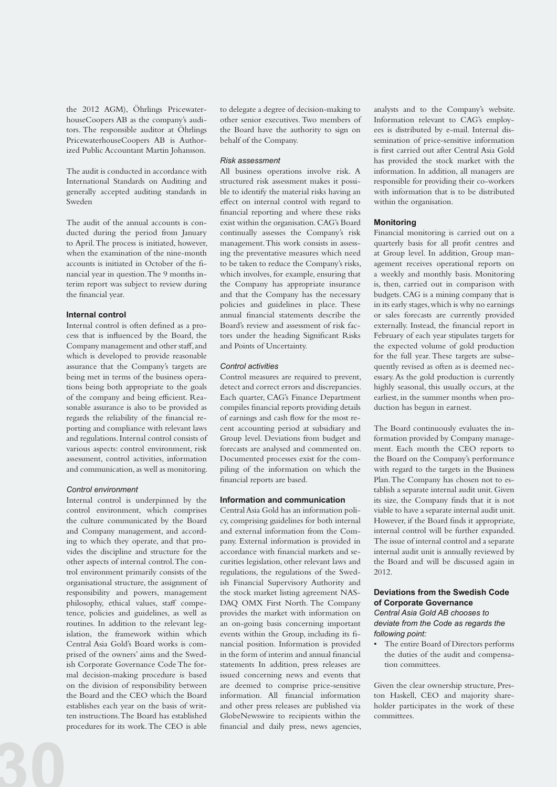the 2012 AGM), Öhrlings PricewaterhouseCoopers AB as the company's auditors. The responsible auditor at Öhrlings PricewaterhouseCoopers AB is Authorized Public Accountant Martin Johansson.

The audit is conducted in accordance with International Standards on Auditing and generally accepted auditing standards in Sweden

The audit of the annual accounts is conducted during the period from January to April. The process is initiated, however, when the examination of the nine-month accounts is initiated in October of the financial year in question. The 9 months interim report was subject to review during the financial year.

## **Internal control**

Internal control is often defined as a process that is influenced by the Board, the Company management and other staff, and which is developed to provide reasonable assurance that the Company's targets are being met in terms of the business operations being both appropriate to the goals of the company and being efficient. Reasonable assurance is also to be provided as regards the reliability of the financial reporting and compliance with relevant laws and regulations. Internal control consists of various aspects: control environment, risk assessment, control activities, information and communication, as well as monitoring.

#### *Control environment*

Internal control is underpinned by the control environment, which comprises the culture communicated by the Board and Company management, and according to which they operate, and that provides the discipline and structure for the other aspects of internal control. The control environment primarily consists of the organisational structure, the assignment of responsibility and powers, management philosophy, ethical values, staff competence, policies and guidelines, as well as routines. In addition to the relevant legislation, the framework within which Central Asia Gold's Board works is comprised of the owners' aims and the Swedish Corporate Governance Code The formal decision-making procedure is based on the division of responsibility between the Board and the CEO which the Board establishes each year on the basis of written instructions. The Board has established procedures for its work. The CEO is able

to delegate a degree of decision-making to other senior executives. Two members of the Board have the authority to sign on behalf of the Company.

## *Risk assessment*

All business operations involve risk. A structured risk assessment makes it possible to identify the material risks having an effect on internal control with regard to financial reporting and where these risks exist within the organisation. CAG's Board continually assesses the Company's risk management. This work consists in assessing the preventative measures which need to be taken to reduce the Company's risks, which involves, for example, ensuring that the Company has appropriate insurance and that the Company has the necessary policies and guidelines in place. These annual financial statements describe the Board's review and assessment of risk factors under the heading Significant Risks and Points of Uncertainty.

# *Control activities*

Control measures are required to prevent, detect and correct errors and discrepancies. Each quarter, CAG's Finance Department compiles financial reports providing details of earnings and cash flow for the most recent accounting period at subsidiary and Group level. Deviations from budget and forecasts are analysed and commented on. Documented processes exist for the compiling of the information on which the financial reports are based.

# **Information and communication**

Central Asia Gold has an information policy, comprising guidelines for both internal and external information from the Company. External information is provided in accordance with financial markets and securities legislation, other relevant laws and regulations, the regulations of the Swedish Financial Supervisory Authority and the stock market listing agreement NAS-DAQ OMX First North. The Company provides the market with information on an on-going basis concerning important events within the Group, including its financial position. Information is provided in the form of interim and annual financial statements In addition, press releases are issued concerning news and events that are deemed to comprise price-sensitive information. All financial information and other press releases are published via GlobeNewswire to recipients within the financial and daily press, news agencies,

analysts and to the Company's website. Information relevant to CAG's employees is distributed by e-mail. Internal dissemination of price-sensitive information is first carried out after Central Asia Gold has provided the stock market with the information. In addition, all managers are responsible for providing their co-workers with information that is to be distributed within the organisation.

#### **Monitoring**

Financial monitoring is carried out on a quarterly basis for all profit centres and at Group level. In addition, Group management receives operational reports on a weekly and monthly basis. Monitoring is, then, carried out in comparison with budgets. CAG is a mining company that is in its early stages, which is why no earnings or sales forecasts are currently provided externally. Instead, the financial report in February of each year stipulates targets for the expected volume of gold production for the full year. These targets are subsequently revised as often as is deemed necessary. As the gold production is currently highly seasonal, this usually occurs, at the earliest, in the summer months when production has begun in earnest.

The Board continuously evaluates the information provided by Company management. Each month the CEO reports to the Board on the Company's performance with regard to the targets in the Business Plan. The Company has chosen not to establish a separate internal audit unit. Given its size, the Company finds that it is not viable to have a separate internal audit unit. However, if the Board finds it appropriate, internal control will be further expanded. The issue of internal control and a separate internal audit unit is annually reviewed by the Board and will be discussed again in 2012.

# **Deviations from the Swedish Code of Corporate Governance**

*Central Asia Gold AB chooses to deviate from the Code as regards the following point:*

• The entire Board of Directors performs the duties of the audit and compensation committees.

Given the clear ownership structure, Preston Haskell, CEO and majority shareholder participates in the work of these committees.